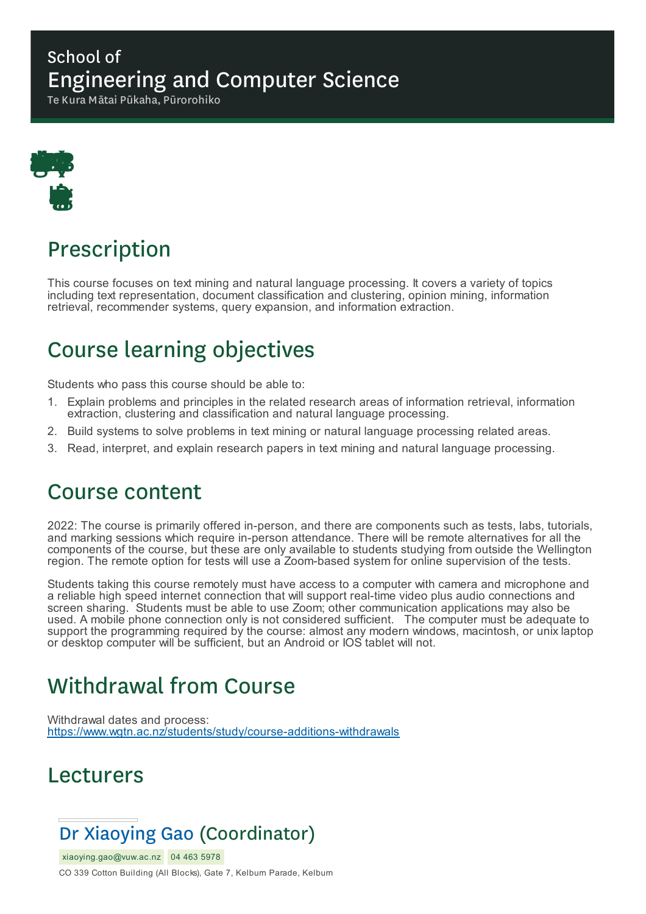#### School of Engineering and Computer Science

Te Kura Mātai Pūkaha, Pūrorohiko



# Prescription

This course focuses on text mining and natural language processing. It covers a variety of topics including text representation, document classification and clustering, opinion mining, information retrieval, recommender systems, query expansion, and information extraction.

## Course learning objectives

Students who pass this course should be able to:

- 1. Explain problems and principles in the related research areas of information retrieval, information extraction, clustering and classification and natural language processing.
- 2. Build systems to solve problems in text mining or natural language processing related areas.
- 3. Read, interpret, and explain research papers in text mining and natural language processing.

### Course content

2022: The course is primarily offered in-person, and there are components such as tests, labs, tutorials, and marking sessions which require in-person attendance. There will be remote alternatives for all the components of the course, but these are only available to students studying from outside the Wellington region. The remote option for tests will use a Zoom-based system for online supervision of the tests.

Students taking this course remotely must have access to a computer with camera and microphone and a reliable high speed internet connection that will support real-time video plus audio connections and screen sharing. Students must be able to use Zoom; other communication applications may also be used. A mobile phone connection only is not considered sufficient. The computer must be adequate to support the programming required by the course: almost any modern windows, macintosh, or unix laptop or desktop computer will be sufficient, but an Android or IOS tablet will not.

# Withdrawal from Course

Withdrawal dates and process: https://www.wgtn.ac.nz/students/study/course-additions-withdrawals

### Lecturers

### Dr Xiaoying Gao (Coordinator)

xiaoying.gao@vuw.ac.nz 04 463 5978 CO 339 Cotton Building (All Blocks), Gate 7, Kelburn Parade, Kelburn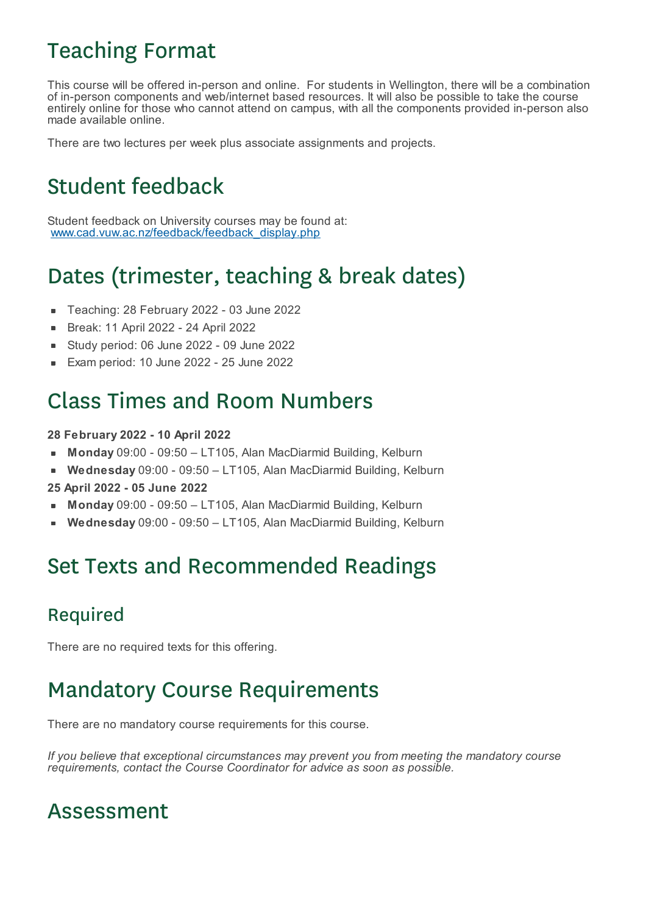## Teaching Format

This course will be offered in-person and online. For students in Wellington, there will be a combination of in-person components and web/internet based resources. It will also be possible to take the course entirely online for those who cannot attend on campus, with all the components provided in-person also made available online.

There are two lectures per week plus associate assignments and projects.

# Student feedback

Student feedback on University courses may be found at: www.cad.vuw.ac.nz/feedback/feedback\_display.php

## Dates (trimester, teaching & break dates)

- Teaching: 28 February 2022 03 June 2022
- Break: 11 April 2022 24 April 2022  $\blacksquare$
- Study period: 06 June 2022 09 June 2022  $\blacksquare$
- Exam period: 10 June 2022 25 June 2022

### Class Times and Room Numbers

#### **28 February 2022 - 10 April 2022**

- **Monday** 09:00 09:50 LT105, Alan MacDiarmid Building, Kelburn
- **Wednesday** 09:00 09:50 LT105, Alan MacDiarmid Building, Kelburn  $\blacksquare$
- **25 April 2022 - 05 June 2022**
- **Monday** 09:00 09:50 LT105, Alan MacDiarmid Building, Kelburn
- **Wednesday** 09:00 09:50 LT105, Alan MacDiarmid Building, Kelburn

### Set Texts and Recommended Readings

#### Required

There are no required texts for this offering.

### Mandatory Course Requirements

There are no mandatory course requirements for this course.

*If you believe that exceptional circumstances may prevent you from meeting the mandatory course requirements, contact the Course Coordinator for advice as soon as possible.*

### Assessment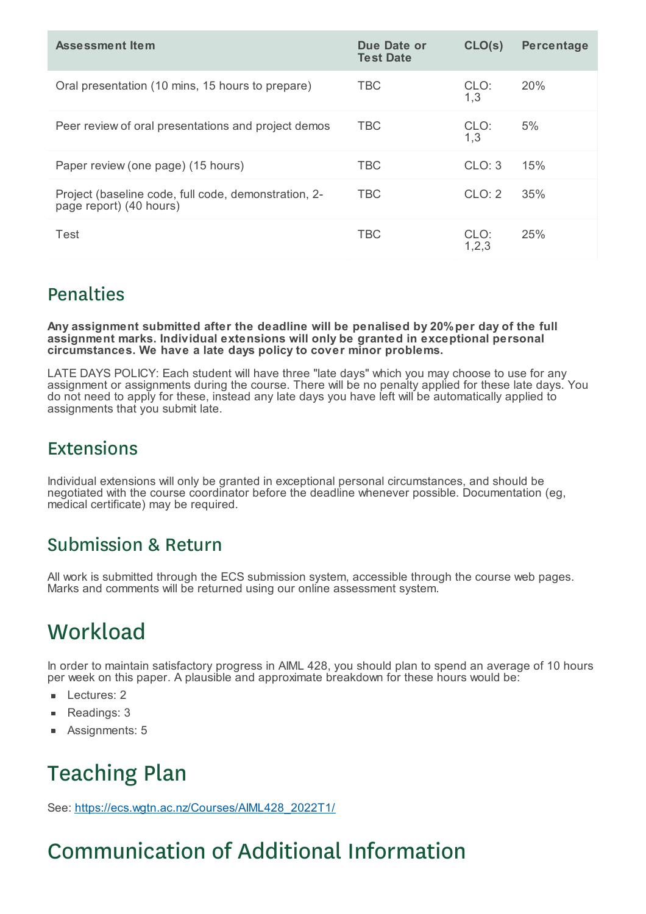| Assessment Item                                                                 | Due Date or<br><b>Test Date</b> | CLO(s)        | <b>Percentage</b> |
|---------------------------------------------------------------------------------|---------------------------------|---------------|-------------------|
| Oral presentation (10 mins, 15 hours to prepare)                                | <b>TBC</b>                      | CLO:<br>1,3   | <b>20%</b>        |
| Peer review of oral presentations and project demos                             | <b>TBC</b>                      | CLO:<br>1,3   | 5%                |
| Paper review (one page) (15 hours)                                              | <b>TBC</b>                      | CLO: 3        | 15%               |
| Project (baseline code, full code, demonstration, 2-<br>page report) (40 hours) | <b>TBC</b>                      | CLO: 2        | 35%               |
| Test                                                                            | <b>TBC</b>                      | CLO:<br>1,2,3 | 25%               |

#### Penalties

**Any assignment submitted after the deadline will be penalised by 20%per day of the full assignment marks. Individual extensions will only be granted in exceptional personal circumstances. We have a late days policy to cover minor problems.**

LATE DAYS POLICY: Each student will have three "late days" which you may choose to use for any assignment or assignments during the course. There will be no penalty applied for these late days. You do not need to apply for these, instead any late days you have left will be automatically applied to assignments that you submit late.

### Extensions

Individual extensions will only be granted in exceptional personal circumstances, and should be negotiated with the course coordinator before the deadline whenever possible. Documentation (eg, medical certificate) may be required.

#### Submission & Return

All work is submitted through the ECS submission system, accessible through the course web pages. Marks and comments will be returned using our online assessment system.

# **Workload**

In order to maintain satisfactory progress in AIML 428, you should plan to spend an average of 10 hours per week on this paper. A plausible and approximate breakdown for these hours would be:

- Lectures: 2
- Readings: 3
- Assignments: 5

# Teaching Plan

See: https://ecs.wgtn.ac.nz/Courses/AIML428\_2022T1/

# Communication of Additional Information